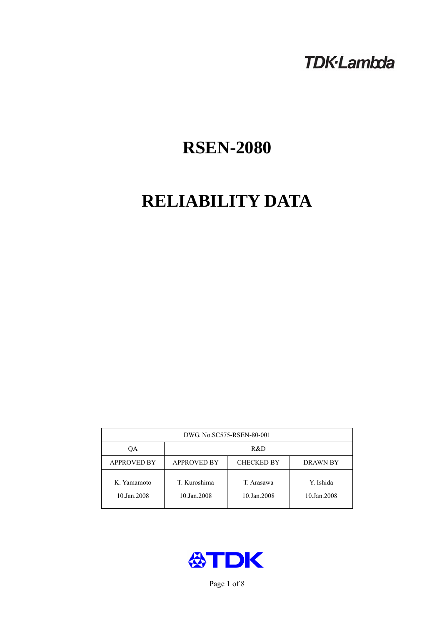## **TDK-Lambda**

# **RSEN-2080**

# **RELIABILITY DATA**

| DWG. No.SC575-RSEN-80-001  |                                                            |                           |                          |  |  |
|----------------------------|------------------------------------------------------------|---------------------------|--------------------------|--|--|
| ОA                         | R&D                                                        |                           |                          |  |  |
| <b>APPROVED BY</b>         | <b>APPROVED BY</b><br><b>CHECKED BY</b><br><b>DRAWN BY</b> |                           |                          |  |  |
| K. Yamamoto<br>10.Jan.2008 | T. Kuroshima<br>10.Jan.2008                                | T. Arasawa<br>10.Jan.2008 | Y. Ishida<br>10.Jan.2008 |  |  |



Page 1 of 8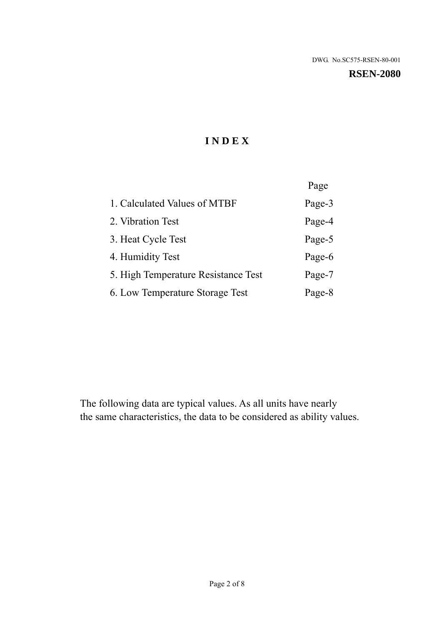#### **RSEN-2080**

## **I N D E X**

|                                     | Page   |
|-------------------------------------|--------|
| 1. Calculated Values of MTBF        | Page-3 |
| 2. Vibration Test                   | Page-4 |
| 3. Heat Cycle Test                  | Page-5 |
| 4. Humidity Test                    | Page-6 |
| 5. High Temperature Resistance Test | Page-7 |
| 6. Low Temperature Storage Test     | Page-8 |

The following data are typical values. As all units have nearly the same characteristics, the data to be considered as ability values.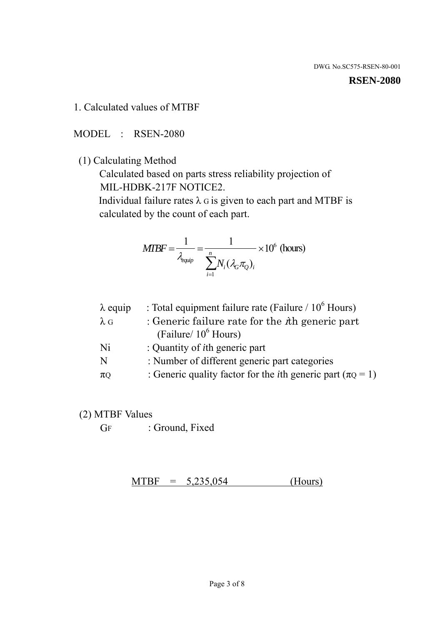#### **RSEN-2080**

1. Calculated values of MTBF

MODEL : RSEN-2080

(1) Calculating Method

 Calculated based on parts stress reliability projection of MIL-HDBK-217F NOTICE2.

Individual failure rates  $\lambda$  G is given to each part and MTBF is calculated by the count of each part.

$$
MIBF = \frac{1}{\lambda_{\text{equip}}} = \frac{1}{\sum_{i=1}^{n} N_i (\lambda_G \pi_Q)_i} \times 10^6 \text{ (hours)}
$$

| $\lambda$ equip | : Total equipment failure rate (Failure $/ 10^6$ Hours)                   |
|-----------------|---------------------------------------------------------------------------|
| $\lambda$ G     | : Generic failure rate for the $\hbar$ generic part                       |
|                 | (Failure/ $10^6$ Hours)                                                   |
| Ni              | : Quantity of <i>i</i> th generic part                                    |
| N               | : Number of different generic part categories                             |
| $\pi$ Q         | : Generic quality factor for the <i>i</i> th generic part ( $\pi Q = 1$ ) |

- (2) MTBF Values
	- GF : Ground, Fixed

 $MTBF = 5,235,054$  (Hours)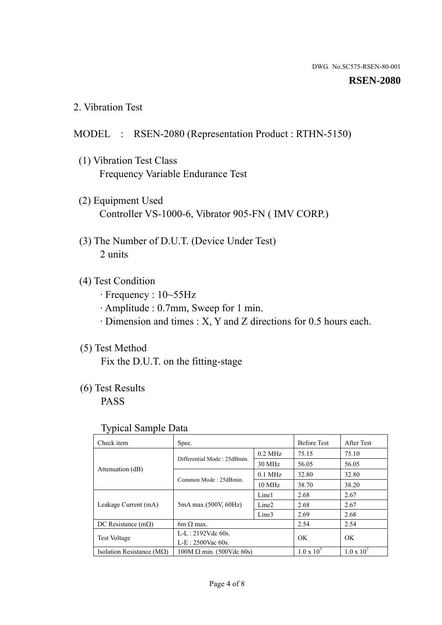#### **RSEN-2080**

2. Vibration Test

### MODEL : RSEN-2080 (Representation Product : RTHN-5150)

- (1) Vibration Test Class Frequency Variable Endurance Test
- (2) Equipment Used Controller VS-1000-6, Vibrator 905-FN ( IMV CORP.)
- (3) The Number of D.U.T. (Device Under Test) 2 units
- (4) Test Condition
	- · Frequency : 10~55Hz
	- · Amplitude : 0.7mm, Sweep for 1 min.
	- · Dimension and times : X, Y and Z directions for 0.5 hours each.

## (5) Test Method

Fix the D.U.T. on the fitting-stage

## (6) Test Results

PASS

#### Typical Sample Data

| Check item                         | Spec.                           |                   | <b>Before Test</b>  | After Test          |
|------------------------------------|---------------------------------|-------------------|---------------------|---------------------|
|                                    | Differential Mode: 25dBmin.     | $0.2$ MHz         | 75.15               | 75.10               |
|                                    |                                 | 30 MHz            | 56.05               | 56.05               |
| Attenuation (dB)                   | Common Mode: 25dBmin.           | $0.1$ MHz         | 32.80               | 32.80               |
|                                    |                                 | $10 \text{ MHz}$  | 38.70               | 38.20               |
| Leakage Current (mA)               | 5mA max.(500V, 60Hz)            | Line1             | 2.68                | 2.67                |
|                                    |                                 | Line <sub>2</sub> | 2.68                | 2.67                |
|                                    |                                 | Line3             | 2.69                | 2.68                |
| DC Resistance $(m\Omega)$          | $6m \Omega$ max.                |                   | 2.54                | 2.54                |
| <b>Test Voltage</b>                | $L-L: 2192Vdc$ 60s.             |                   | OK                  | OK                  |
|                                    | $L-E$ : 2500Vac 60s.            |                   |                     |                     |
| Isolation Resistance ( $M\Omega$ ) | $100M \Omega$ min. (500Vdc 60s) |                   | $1.0 \times 10^{7}$ | $1.0 \times 10^{7}$ |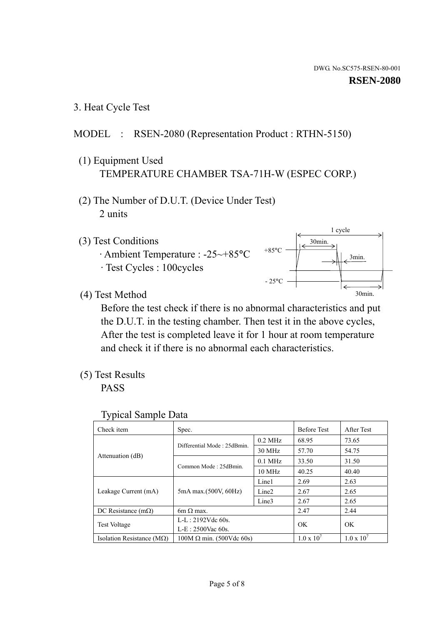1 cycle

30min.

3min.

30min.

3. Heat Cycle Test

## MODEL : RSEN-2080 (Representation Product : RTHN-5150)

- (1) Equipment Used TEMPERATURE CHAMBER TSA-71H-W (ESPEC CORP.)
- (2) The Number of D.U.T. (Device Under Test) 2 units
- (3) Test Conditions
	- · Ambient Temperature : -25~+85°C · Test Cycles : 100cycles
- (4) Test Method

 Before the test check if there is no abnormal characteristics and put the D.U.T. in the testing chamber. Then test it in the above cycles, After the test is completed leave it for 1 hour at room temperature and check it if there is no abnormal each characteristics.

+85°C

 $-25^{\circ}$ C

(5) Test Results

PASS

| <b>Typical Sample Data</b> |  |
|----------------------------|--|
|                            |  |

| Check item                         | Spec.                           |                   | <b>Before Test</b>  | After Test          |
|------------------------------------|---------------------------------|-------------------|---------------------|---------------------|
|                                    | Differential Mode: 25dBmin.     | $0.2$ MHz         | 68.95               | 73.65               |
|                                    |                                 | $30$ MHz          | 57.70               | 54.75               |
| Attenuation (dB)                   | Common Mode: 25dBmin.           | $0.1$ MHz         | 33.50               | 31.50               |
|                                    |                                 | $10$ MHz          | 40.25               | 40.40               |
| Leakage Current (mA)               | 5mA max.(500V, 60Hz)            | Line1             | 2.69                | 2.63                |
|                                    |                                 | Line <sub>2</sub> | 2.67                | 2.65                |
|                                    |                                 | Line3             | 2.67                | 2.65                |
| DC Resistance $(m\Omega)$          | 6m $\Omega$ max.                |                   | 2.47                | 2.44                |
|                                    | $L-L: 2192Vdc$ 60s.             |                   | OK                  | OK                  |
| Test Voltage                       | $L-E$ : 2500Vac 60s.            |                   |                     |                     |
| Isolation Resistance ( $M\Omega$ ) | $100M \Omega$ min. (500Vdc 60s) |                   | $1.0 \times 10^{7}$ | $1.0 \times 10^{7}$ |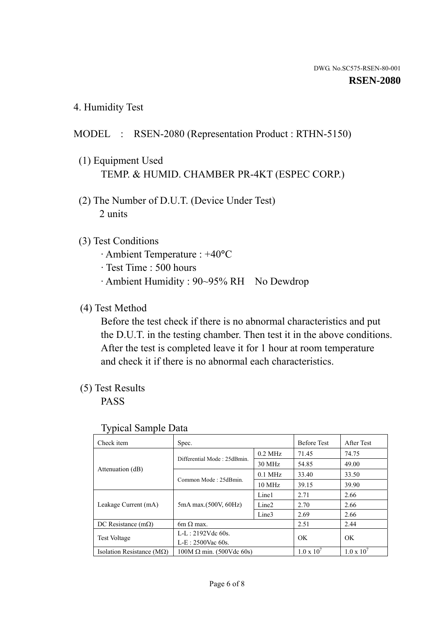4. Humidity Test

## MODEL : RSEN-2080 (Representation Product : RTHN-5150)

- (1) Equipment Used TEMP. & HUMID. CHAMBER PR-4KT (ESPEC CORP.)
- (2) The Number of D.U.T. (Device Under Test) 2 units

## (3) Test Conditions

- · Ambient Temperature : +40°C
- · Test Time : 500 hours
- · Ambient Humidity : 90~95% RH No Dewdrop

## (4) Test Method

 Before the test check if there is no abnormal characteristics and put the D.U.T. in the testing chamber. Then test it in the above conditions. After the test is completed leave it for 1 hour at room temperature and check it if there is no abnormal each characteristics.

## (5) Test Results

PASS

| ັ່<br>Check item                   | Spec.                       |                   | <b>Before Test</b>  | After Test          |
|------------------------------------|-----------------------------|-------------------|---------------------|---------------------|
|                                    | Differential Mode: 25dBmin. | $0.2$ MHz         | 71.45               | 74.75               |
|                                    |                             | 30 MHz            | 54.85               | 49.00               |
| Attenuation (dB)                   | Common Mode: 25dBmin.       | $0.1$ MHz         | 33.40               | 33.50               |
|                                    |                             | $10 \text{ MHz}$  | 39.15               | 39.90               |
| Leakage Current (mA)               | 5mA max.(500V, 60Hz)        | Line1             | 2.71                | 2.66                |
|                                    |                             | Line <sub>2</sub> | 2.70                | 2.66                |
|                                    |                             | Line3             | 2.69                | 2.66                |
| DC Resistance $(m\Omega)$          | $6m \Omega$ max.            |                   | 2.51                | 2.44                |
| Test Voltage                       | $L-L: 2192Vdc$ 60s.         |                   | OK                  | OK.                 |
|                                    | $L-E: 2500$ Vac 60s.        |                   |                     |                     |
| Isolation Resistance ( $M\Omega$ ) | $100M$ Ω min. (500Vdc 60s)  |                   | $1.0 \times 10^{7}$ | $1.0 \times 10^{7}$ |

#### Typical Sample Data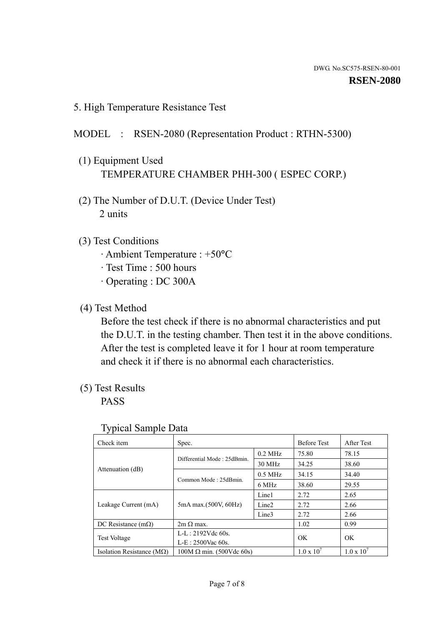5. High Temperature Resistance Test

## MODEL : RSEN-2080 (Representation Product : RTHN-5300)

- (1) Equipment Used TEMPERATURE CHAMBER PHH-300 ( ESPEC CORP.)
- (2) The Number of D.U.T. (Device Under Test) 2 units
- (3) Test Conditions
	- · Ambient Temperature : +50°C
	- · Test Time : 500 hours
	- · Operating : DC 300A
- (4) Test Method

 Before the test check if there is no abnormal characteristics and put the D.U.T. in the testing chamber. Then test it in the above conditions. After the test is completed leave it for 1 hour at room temperature and check it if there is no abnormal each characteristics.

(5) Test Results

PASS

| Check item                         | Spec.                           |                   | <b>Before Test</b>  | After Test          |
|------------------------------------|---------------------------------|-------------------|---------------------|---------------------|
|                                    | Differential Mode: 25dBmin.     | $0.2$ MHz         | 75.80               | 78.15               |
|                                    |                                 | 30 MHz            | 34.25               | 38.60               |
| Attenuation (dB)                   | Common Mode: 25dBmin.           | $0.5$ MHz         | 34.15               | 34.40               |
|                                    |                                 | 6 MHz             | 38.60               | 29.55               |
| Leakage Current (mA)               | 5mA max.(500V, 60Hz)            | Line1             | 2.72                | 2.65                |
|                                    |                                 | Line <sub>2</sub> | 2.72                | 2.66                |
|                                    |                                 | Line3             | 2.72                | 2.66                |
| DC Resistance $(m\Omega)$          | $2m \Omega$ max.                |                   | 1.02                | 0.99                |
| <b>Test Voltage</b>                | $L-L: 2192Vdc$ 60s.             |                   | OK.                 | OK                  |
|                                    | $L-E: 2500$ Vac 60s.            |                   |                     |                     |
| Isolation Resistance ( $M\Omega$ ) | $100M \Omega$ min. (500Vdc 60s) |                   | $1.0 \times 10^{7}$ | $1.0 \times 10^{7}$ |

#### Typical Sample Data